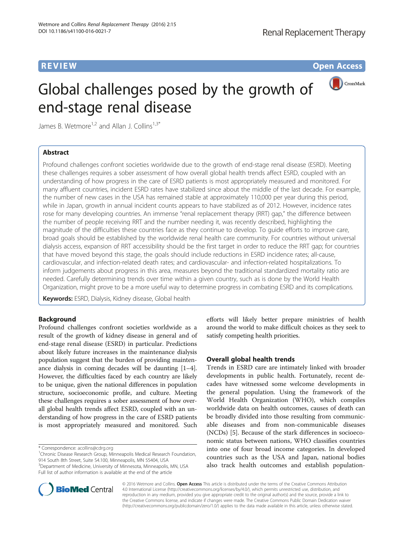**REVIEW CONSTRUCTION CONSTRUCTION CONSTRUCTS** 



# Global challenges posed by the growth of end-stage renal disease

James B. Wetmore<sup>1,2</sup> and Allan J. Collins<sup>1,3\*</sup>

# Abstract

Profound challenges confront societies worldwide due to the growth of end-stage renal disease (ESRD). Meeting these challenges requires a sober assessment of how overall global health trends affect ESRD, coupled with an understanding of how progress in the care of ESRD patients is most appropriately measured and monitored. For many affluent countries, incident ESRD rates have stabilized since about the middle of the last decade. For example, the number of new cases in the USA has remained stable at approximately 110,000 per year during this period, while in Japan, growth in annual incident counts appears to have stabilized as of 2012. However, incidence rates rose for many developing countries. An immense "renal replacement therapy (RRT) gap," the difference between the number of people receiving RRT and the number needing it, was recently described, highlighting the magnitude of the difficulties these countries face as they continue to develop. To guide efforts to improve care, broad goals should be established by the worldwide renal health care community. For countries without universal dialysis access, expansion of RRT accessibility should be the first target in order to reduce the RRT gap; for countries that have moved beyond this stage, the goals should include reductions in ESRD incidence rates; all-cause, cardiovascular, and infection-related death rates; and cardiovascular- and infection-related hospitalizations. To inform judgements about progress in this area, measures beyond the traditional standardized mortality ratio are needed. Carefully determining trends over time within a given country, such as is done by the World Health Organization, might prove to be a more useful way to determine progress in combating ESRD and its complications.

**Keywords:** ESRD, Dialysis, Kidney disease, Global health

# Background

Profound challenges confront societies worldwide as a result of the growth of kidney disease in general and of end-stage renal disease (ESRD) in particular. Predictions about likely future increases in the maintenance dialysis population suggest that the burden of providing maintenance dialysis in coming decades will be daunting [[1](#page-6-0)–[4](#page-6-0)]. However, the difficulties faced by each country are likely to be unique, given the national differences in population structure, socioeconomic profile, and culture. Meeting these challenges requires a sober assessment of how overall global health trends affect ESRD, coupled with an understanding of how progress in the care of ESRD patients is most appropriately measured and monitored. Such

Full list of author information is available at the end of the article



# Overall global health trends

Trends in ESRD care are intimately linked with broader developments in public health. Fortunately, recent decades have witnessed some welcome developments in the general population. Using the framework of the World Health Organization (WHO), which compiles worldwide data on health outcomes, causes of death can be broadly divided into those resulting from communicable diseases and from non-communicable diseases (NCDs) [[5](#page-6-0)]. Because of the stark differences in socioeconomic status between nations, WHO classifies countries into one of four broad income categories. In developed countries such as the USA and Japan, national bodies also track health outcomes and establish population-



© 2016 Wetmore and Collins. Open Access This article is distributed under the terms of the Creative Commons Attribution 4.0 International License ([http://creativecommons.org/licenses/by/4.0/\)](http://creativecommons.org/licenses/by/4.0/), which permits unrestricted use, distribution, and reproduction in any medium, provided you give appropriate credit to the original author(s) and the source, provide a link to the Creative Commons license, and indicate if changes were made. The Creative Commons Public Domain Dedication waiver [\(http://creativecommons.org/publicdomain/zero/1.0/](http://creativecommons.org/publicdomain/zero/1.0/)) applies to the data made available in this article, unless otherwise stated.

<sup>\*</sup> Correspondence: [acollins@cdrg.org](mailto:acollins@cdrg.org) <sup>1</sup>

<sup>&</sup>lt;sup>1</sup>Chronic Disease Research Group, Minneapolis Medical Research Foundation, 914 South 8th Street, Suite S4.100, Minneapolis, MN 55404, USA <sup>3</sup>Department of Medicine, University of Minnesota, Minneapolis, MN, USA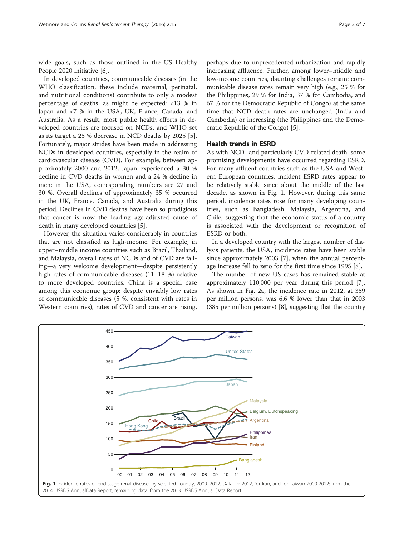wide goals, such as those outlined in the US Healthy People 2020 initiative [[6\]](#page-6-0).

In developed countries, communicable diseases (in the WHO classification, these include maternal, perinatal, and nutritional conditions) contribute to only a modest percentage of deaths, as might be expected: <13 % in Japan and <7 % in the USA, UK, France, Canada, and Australia. As a result, most public health efforts in developed countries are focused on NCDs, and WHO set as its target a 25 % decrease in NCD deaths by 2025 [\[5](#page-6-0)]. Fortunately, major strides have been made in addressing NCDs in developed countries, especially in the realm of cardiovascular disease (CVD). For example, between approximately 2000 and 2012, Japan experienced a 30 % decline in CVD deaths in women and a 24 % decline in men; in the USA, corresponding numbers are 27 and 30 %. Overall declines of approximately 35 % occurred in the UK, France, Canada, and Australia during this period. Declines in CVD deaths have been so prodigious that cancer is now the leading age-adjusted cause of death in many developed countries [\[5](#page-6-0)].

However, the situation varies considerably in countries that are not classified as high-income. For example, in upper–middle income countries such as Brazil, Thailand, and Malaysia, overall rates of NCDs and of CVD are falling—a very welcome development—despite persistently high rates of communicable diseases (11–18 %) relative to more developed countries. China is a special case among this economic group: despite enviably low rates of communicable diseases (5 %, consistent with rates in Western countries), rates of CVD and cancer are rising,

perhaps due to unprecedented urbanization and rapidly increasing affluence. Further, among lower–middle and low-income countries, daunting challenges remain: communicable disease rates remain very high (e.g., 25 % for the Philippines, 29 % for India, 37 % for Cambodia, and 67 % for the Democratic Republic of Congo) at the same time that NCD death rates are unchanged (India and Cambodia) or increasing (the Philippines and the Democratic Republic of the Congo) [[5\]](#page-6-0).

## Health trends in ESRD

As with NCD- and particularly CVD-related death, some promising developments have occurred regarding ESRD. For many affluent countries such as the USA and Western European countries, incident ESRD rates appear to be relatively stable since about the middle of the last decade, as shown in Fig. 1. However, during this same period, incidence rates rose for many developing countries, such as Bangladesh, Malaysia, Argentina, and Chile, suggesting that the economic status of a country is associated with the development or recognition of ESRD or both.

In a developed country with the largest number of dialysis patients, the USA, incidence rates have been stable since approximately 2003 [\[7](#page-6-0)], when the annual percentage increase fell to zero for the first time since 1995 [\[8\]](#page-6-0).

The number of new US cases has remained stable at approximately 110,000 per year during this period [\[7](#page-6-0)]. As shown in Fig. [2a](#page-2-0), the incidence rate in 2012, at 359 per million persons, was 6.6 % lower than that in 2003 (385 per million persons) [\[8\]](#page-6-0), suggesting that the country

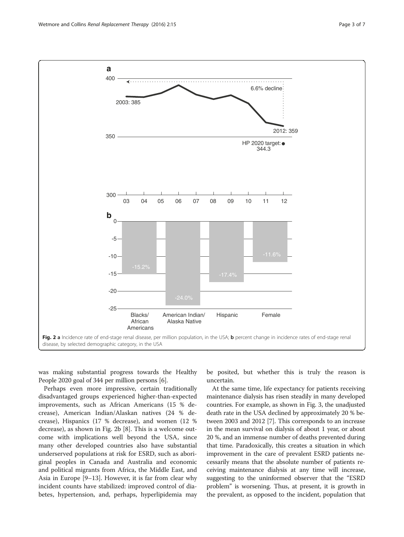<span id="page-2-0"></span>

was making substantial progress towards the Healthy People 2020 goal of 344 per million persons [[6](#page-6-0)].

Perhaps even more impressive, certain traditionally disadvantaged groups experienced higher-than-expected improvements, such as African Americans (15 % decrease), American Indian/Alaskan natives (24 % decrease), Hispanics (17 % decrease), and women (12 % decrease), as shown in Fig. 2b [\[8](#page-6-0)]. This is a welcome outcome with implications well beyond the USA, since many other developed countries also have substantial underserved populations at risk for ESRD, such as aboriginal peoples in Canada and Australia and economic and political migrants from Africa, the Middle East, and Asia in Europe [[9](#page-6-0)–[13](#page-6-0)]. However, it is far from clear why incident counts have stabilized: improved control of diabetes, hypertension, and, perhaps, hyperlipidemia may be posited, but whether this is truly the reason is uncertain.

At the same time, life expectancy for patients receiving maintenance dialysis has risen steadily in many developed countries. For example, as shown in Fig. [3](#page-3-0), the unadjusted death rate in the USA declined by approximately 20 % between 2003 and 2012 [[7\]](#page-6-0). This corresponds to an increase in the mean survival on dialysis of about 1 year, or about 20 %, and an immense number of deaths prevented during that time. Paradoxically, this creates a situation in which improvement in the care of prevalent ESRD patients necessarily means that the absolute number of patients receiving maintenance dialysis at any time will increase, suggesting to the uninformed observer that the "ESRD problem" is worsening. Thus, at present, it is growth in the prevalent, as opposed to the incident, population that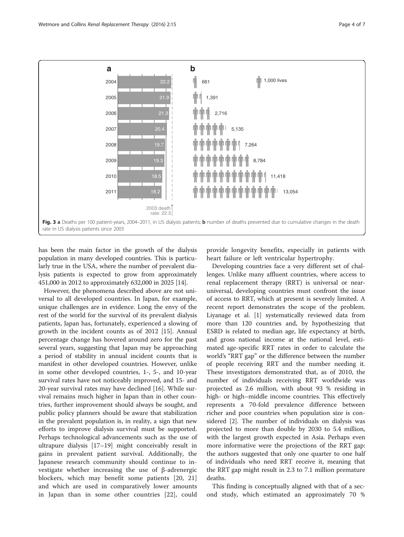<span id="page-3-0"></span>

has been the main factor in the growth of the dialysis population in many developed countries. This is particularly true in the USA, where the number of prevalent dialysis patients is expected to grow from approximately 451,000 in 2012 to approximately 632,000 in 2025 [\[14\]](#page-6-0).

However, the phenomena described above are not universal to all developed countries. In Japan, for example, unique challenges are in evidence. Long the envy of the rest of the world for the survival of its prevalent dialysis patients, Japan has, fortunately, experienced a slowing of growth in the incident counts as of 2012 [[15\]](#page-6-0). Annual percentage change has hovered around zero for the past several years, suggesting that Japan may be approaching a period of stability in annual incident counts that is manifest in other developed countries. However, unlike in some other developed countries, 1-, 5-, and 10-year survival rates have not noticeably improved, and 15- and 20-year survival rates may have declined [[16](#page-6-0)]. While survival remains much higher in Japan than in other countries, further improvement should always be sought, and public policy planners should be aware that stabilization in the prevalent population is, in reality, a sign that new efforts to improve dialysis survival must be supported. Perhaps technological advancements such as the use of ultrapure dialysis [[17](#page-6-0)–[19](#page-6-0)] might conceivably result in gains in prevalent patient survival. Additionally, the Japanese research community should continue to investigate whether increasing the use of β-adrenergic blockers, which may benefit some patients [[20](#page-6-0), [21](#page-6-0)] and which are used in comparatively lower amounts in Japan than in some other countries [[22\]](#page-6-0), could

provide longevity benefits, especially in patients with heart failure or left ventricular hypertrophy.

Developing countries face a very different set of challenges. Unlike many affluent countries, where access to renal replacement therapy (RRT) is universal or nearuniversal, developing countries must confront the issue of access to RRT, which at present is severely limited. A recent report demonstrates the scope of the problem. Liyanage et al. [[1\]](#page-6-0) systematically reviewed data from more than 120 countries and, by hypothesizing that ESRD is related to median age, life expectancy at birth, and gross national income at the national level, estimated age-specific RRT rates in order to calculate the world's "RRT gap" or the difference between the number of people receiving RRT and the number needing it. These investigators demonstrated that, as of 2010, the number of individuals receiving RRT worldwide was projected as 2.6 million, with about 93 % residing in high- or high–middle income countries. This effectively represents a 70-fold prevalence difference between richer and poor countries when population size is considered [[2\]](#page-6-0). The number of individuals on dialysis was projected to more than double by 2030 to 5.4 million, with the largest growth expected in Asia. Perhaps even more informative were the projections of the RRT gap: the authors suggested that only one quarter to one half of individuals who need RRT receive it, meaning that the RRT gap might result in 2.3 to 7.1 million premature deaths.

This finding is conceptually aligned with that of a second study, which estimated an approximately 70 %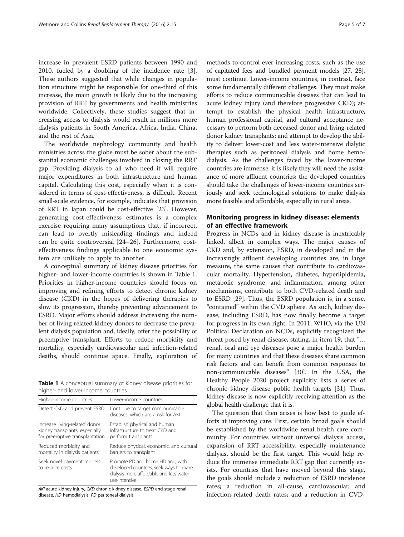increase in prevalent ESRD patients between 1990 and 2010, fueled by a doubling of the incidence rate [\[3](#page-6-0)]. These authors suggested that while changes in population structure might be responsible for one-third of this increase, the main growth is likely due to the increasing provision of RRT by governments and health ministries worldwide. Collectively, these studies suggest that increasing access to dialysis would result in millions more dialysis patients in South America, Africa, India, China, and the rest of Asia.

The worldwide nephrology community and health ministries across the globe must be sober about the substantial economic challenges involved in closing the RRT gap. Providing dialysis to all who need it will require major expenditures in both infrastructure and human capital. Calculating this cost, especially when it is considered in terms of cost-effectiveness, is difficult. Recent small-scale evidence, for example, indicates that provision of RRT in Japan could be cost-effective [\[23](#page-6-0)]. However, generating cost-effectiveness estimates is a complex exercise requiring many assumptions that, if incorrect, can lead to overtly misleading findings and indeed can be quite controversial [\[24](#page-6-0)–[26](#page-6-0)]. Furthermore, costeffectiveness findings applicable to one economic system are unlikely to apply to another.

A conceptual summary of kidney disease priorities for higher- and lower-income countries is shown in Table 1. Priorities in higher-income countries should focus on improving and refining efforts to detect chronic kidney disease (CKD) in the hopes of delivering therapies to slow its progression, thereby preventing advancement to ESRD. Major efforts should address increasing the number of living related kidney donors to decrease the prevalent dialysis population and, ideally, offer the possibility of preemptive transplant. Efforts to reduce morbidity and mortality, especially cardiovascular and infection-related deaths, should continue apace. Finally, exploration of

Table 1 A conceptual summary of kidney disease priorities for higher- and lower-income countries

| Higher-income countries                                                                           | Lower-income countries                                                                                                                 |
|---------------------------------------------------------------------------------------------------|----------------------------------------------------------------------------------------------------------------------------------------|
| Detect CKD and prevent ESRD                                                                       | Continue to target communicable<br>diseases, which are a risk for AKI                                                                  |
| Increase living-related donor<br>kidney transplants, especially<br>for preemptive transplantation | Establish physical and human<br>infrastructure to treat CKD and<br>perform transplants                                                 |
| Reduced morbidity and<br>mortality in dialysis patients                                           | Reduce physical, economic, and cultural<br>barriers to transplant                                                                      |
| Seek novel payment models<br>to reduce costs                                                      | Promote PD and home HD and, with<br>developed countries, seek ways to make<br>dialysis more affordable and less water<br>use-intensive |

AKI acute kidney injury, CKD chronic kidney disease, ESRD end-stage renal disease, HD hemodialysis, PD peritoneal dialysis

methods to control ever-increasing costs, such as the use of capitated fees and bundled payment models [[27](#page-6-0), [28](#page-6-0)], must continue. Lower-income countries, in contrast, face some fundamentally different challenges. They must make efforts to reduce communicable diseases that can lead to acute kidney injury (and therefore progressive CKD); attempt to establish the physical health infrastructure, human professional capital, and cultural acceptance necessary to perform both deceased donor and living-related donor kidney transplants; and attempt to develop the ability to deliver lower-cost and less water-intensive dialytic therapies such as peritoneal dialysis and home hemodialysis. As the challenges faced by the lower-income countries are immense, it is likely they will need the assistance of more affluent countries; the developed countries should take the challenges of lower-income countries seriously and seek technological solutions to make dialysis

# Monitoring progress in kidney disease: elements of an effective framework

more feasible and affordable, especially in rural areas.

Progress in NCDs and in kidney disease is inextricably linked, albeit in complex ways. The major causes of CKD and, by extension, ESRD, in developed and in the increasingly affluent developing countries are, in large measure, the same causes that contribute to cardiovascular mortality. Hypertension, diabetes, hyperlipidemia, metabolic syndrome, and inflammation, among other mechanisms, contribute to both CVD-related death and to ESRD [[29\]](#page-6-0). Thus, the ESRD population is, in a sense, "contained" within the CVD sphere. As such, kidney disease, including ESRD, has now finally become a target for progress in its own right. In 2011, WHO, via the UN Political Declaration on NCDs, explicitly recognized the threat posed by renal disease, stating, in item 19, that "… renal, oral and eye diseases pose a major health burden for many countries and that these diseases share common risk factors and can benefit from common responses to non-communicable diseases" [\[30\]](#page-6-0). In the USA, the Healthy People 2020 project explicitly lists a series of chronic kidney disease public health targets [\[31\]](#page-6-0). Thus, kidney disease is now explicitly receiving attention as the global health challenge that it is.

The question that then arises is how best to guide efforts at improving care. First, certain broad goals should be established by the worldwide renal health care community. For countries without universal dialysis access, expansion of RRT accessibility, especially maintenance dialysis, should be the first target. This would help reduce the immense immediate RRT gap that currently exists. For countries that have moved beyond this stage, the goals should include a reduction of ESRD incidence rates; a reduction in all-cause, cardiovascular, and infection-related death rates; and a reduction in CVD-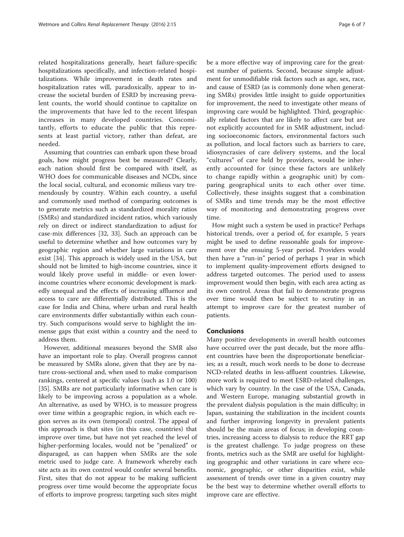related hospitalizations generally, heart failure-specific hospitalizations specifically, and infection-related hospitalizations. While improvement in death rates and hospitalization rates will, paradoxically, appear to increase the societal burden of ESRD by increasing prevalent counts, the world should continue to capitalize on the improvements that have led to the recent lifespan increases in many developed countries. Concomitantly, efforts to educate the public that this represents at least partial victory, rather than defeat, are needed.

Assuming that countries can embark upon these broad goals, how might progress best be measured? Clearly, each nation should first be compared with itself, as WHO does for communicable diseases and NCDs, since the local social, cultural, and economic milieus vary tremendously by country. Within each country, a useful and commonly used method of comparing outcomes is to generate metrics such as standardized morality ratios (SMRs) and standardized incident ratios, which variously rely on direct or indirect standardization to adjust for case-mix differences [\[32, 33\]](#page-6-0). Such an approach can be useful to determine whether and how outcomes vary by geographic region and whether large variations in care exist [[34\]](#page-6-0). This approach is widely used in the USA, but should not be limited to high-income countries, since it would likely prove useful in middle- or even lowerincome countries where economic development is markedly unequal and the effects of increasing affluence and access to care are differentially distributed. This is the case for India and China, where urban and rural health care environments differ substantially within each country. Such comparisons would serve to highlight the immense gaps that exist within a country and the need to address them.

However, additional measures beyond the SMR also have an important role to play. Overall progress cannot be measured by SMRs alone, given that they are by nature cross-sectional and, when used to make comparison rankings, centered at specific values (such as 1.0 or 100) [[35\]](#page-6-0). SMRs are not particularly informative when care is likely to be improving across a population as a whole. An alternative, as used by WHO, is to measure progress over time within a geographic region, in which each region serves as its own (temporal) control. The appeal of this approach is that sites (in this case, countries) that improve over time, but have not yet reached the level of higher-performing locales, would not be "penalized" or disparaged, as can happen when SMRs are the sole metric used to judge care. A framework whereby each site acts as its own control would confer several benefits. First, sites that do not appear to be making sufficient progress over time would become the appropriate focus of efforts to improve progress; targeting such sites might

be a more effective way of improving care for the greatest number of patients. Second, because simple adjustment for unmodifiable risk factors such as age, sex, race, and cause of ESRD (as is commonly done when generating SMRs) provides little insight to guide opportunities for improvement, the need to investigate other means of improving care would be highlighted. Third, geographically related factors that are likely to affect care but are not explicitly accounted for in SMR adjustment, including socioeconomic factors, environmental factors such as pollution, and local factors such as barriers to care, idiosyncrasies of care delivery systems, and the local "cultures" of care held by providers, would be inherently accounted for (since these factors are unlikely to change rapidly within a geographic unit) by comparing geographical units to each other over time. Collectively, these insights suggest that a combination of SMRs and time trends may be the most effective way of monitoring and demonstrating progress over time.

How might such a system be used in practice? Perhaps historical trends, over a period of, for example, 5 years might be used to define reasonable goals for improvement over the ensuing 5-year period. Providers would then have a "run-in" period of perhaps 1 year in which to implement quality-improvement efforts designed to address targeted outcomes. The period used to assess improvement would then begin, with each area acting as its own control. Areas that fail to demonstrate progress over time would then be subject to scrutiny in an attempt to improve care for the greatest number of patients.

# Conclusions

Many positive developments in overall health outcomes have occurred over the past decade, but the more affluent countries have been the disproportionate beneficiaries; as a result, much work needs to be done to decrease NCD-related deaths in less-affluent countries. Likewise, more work is required to meet ESRD-related challenges, which vary by country. In the case of the USA, Canada, and Western Europe, managing substantial growth in the prevalent dialysis population is the main difficulty; in Japan, sustaining the stabilization in the incident counts and further improving longevity in prevalent patients should be the main areas of focus; in developing countries, increasing access to dialysis to reduce the RRT gap is the greatest challenge. To judge progress on these fronts, metrics such as the SMR are useful for highlighting geographic and other variations in care where economic, geographic, or other disparities exist, while assessment of trends over time in a given country may be the best way to determine whether overall efforts to improve care are effective.